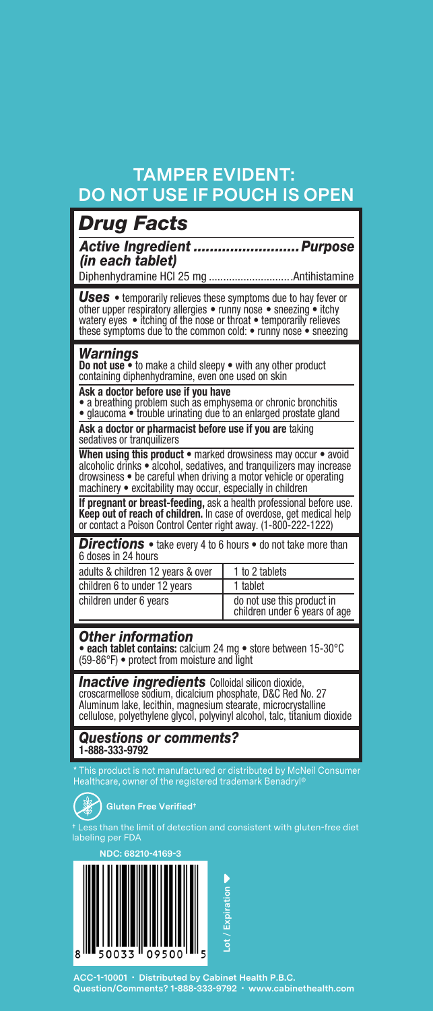# **TAMPER EVIDENT: DO NOT USE IF POUCH IS OPEN**

| <b>Drug Facts</b>                                                                                                                                                                                                                                                               |
|---------------------------------------------------------------------------------------------------------------------------------------------------------------------------------------------------------------------------------------------------------------------------------|
| Active Ingredient  Purpose<br>(in each tablet)                                                                                                                                                                                                                                  |
|                                                                                                                                                                                                                                                                                 |
| <b>Uses</b> • temporarily relieves these symptoms due to hay fever or<br>other upper respiratory allergies • runny nose • sneezing • itchy watery eyes • itching of the nose or throat • temporarily relieves<br>these symptoms due to the common cold: • runny nose • sneezing |
| Warnings<br>Do not use • to make a child sleepy • with any other product<br>containing diphenhydramine, even one used on skin                                                                                                                                                   |

**Ask a doctor before use if you have** • a breathing problem such as emphysema or chronic bronchitis

• glaucoma • trouble urinating due to an enlarged prostate gland

**Ask a doctor or pharmacist before use if you are** taking sedatives or tranquilizers

**When using this product** • marked drowsiness may occur • avoid alcoholic drinks • alcohol, sedatives, and tranquilizers may increase drowsiness • be careful when driving a motor vehicle or operating machinery • excitability may occur, especially in children

**If pregnant or breast-feeding,** ask a health professional before use. **Keep out of reach of children.** In case of overdose, get medical help or contact a Poison Control Center right away. (1-800-222-1222)

**Directions** • take every 4 to 6 hours • do not take more than 6 doses in 24 hours

| adults & children 12 years & over | 1 to 2 tablets                                              |
|-----------------------------------|-------------------------------------------------------------|
| children 6 to under 12 years      | 1 tablet                                                    |
| children under 6 years            | do not use this product in<br>children under 6 years of age |

#### *Other information*

• **each tablet contains:** calcium 24 mg • store between 15-30°C (59-86°F) • protect from moisture and light

**Inactive ingredients** Colloidal silicon dioxide,<br>croscarmellose sodium, dicalcium phosphate, D&C Red No. 27<br>Aluminum lake, lecithin, magnesium stearate, microcrystalline cellulose, polyethylene glycol, polyvinyl alcohol, talc, titanium dioxide

#### *Questions or comments?*  **1-888-333-9792**

\* This product is not manufactured or distributed by McNeil Consumer Healthcare, owner of the registered trademark Benadryl®



**Gluten Free Verified†**

† Less than the limit of detection and consistent with gluten-free diet labeling per FDA



**ACC-1-10001 • Distributed by Cabinet Health P.B.C. Question/Comments? 1-888-333-9792 • www.cabinethealth.com**